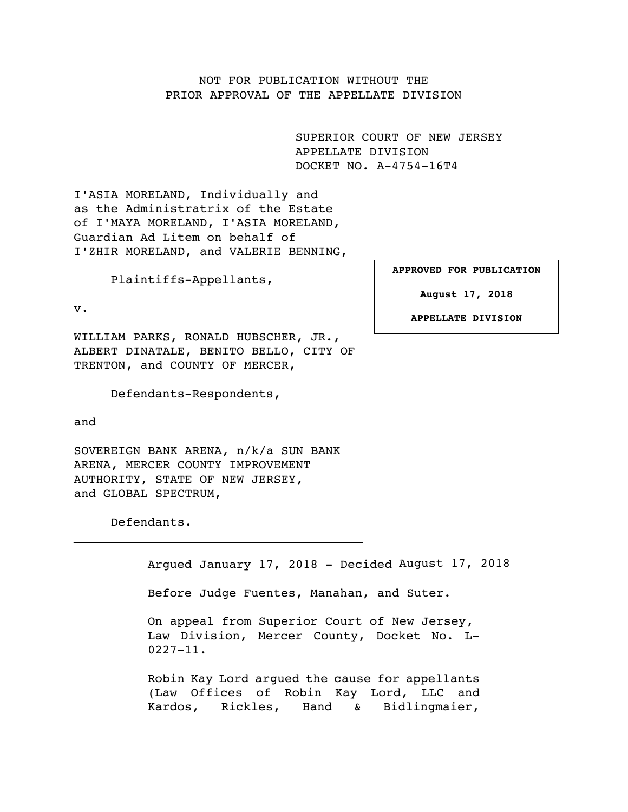NOT FOR PUBLICATION WITHOUT THE PRIOR APPROVAL OF THE APPELLATE DIVISION

> <span id="page-0-0"></span>SUPERIOR COURT OF NEW JERSEY APPELLATE DIVISION DOCKET NO. A-4754-16T4

I'ASIA MORELAND, Individually and as the Administratrix of the Estate of I'MAYA MORELAND, I'ASIA MORELAND, Guardian Ad Litem on behalf of I'ZHIR MORELAND, and VALERIE BENNING,

Plaintiffs-Appellants,

**APPROVED FOR PUBLICATION**

v.

**August 17, 2018**

WILLIAM PARKS, RONALD HUBSCHER, JR., ALBERT DINATALE, BENITO BELLO, CITY OF TRENTON, and COUNTY OF MERCER,

Defendants-Respondents,

and

SOVEREIGN BANK ARENA, n/k/a SUN BANK ARENA, MERCER COUNTY IMPROVEMENT AUTHORITY, STATE OF NEW JERSEY, and GLOBAL SPECTRUM,

 $\mathcal{L}_\text{max}$  and  $\mathcal{L}_\text{max}$  and  $\mathcal{L}_\text{max}$ 

Defendants.

Argued January 17, 2018 - Decided August 17, 2018

Before Judge Fuentes, Manahan, and Suter.

On appeal from Superior Court of New Jersey, Law Division, Mercer County, Docket No. L-0227-11.

Robin Kay Lord argued the cause for appellants (Law Offices of Robin Kay Lord, LLC and Kardos, Rickles, Hand & Bidlingmaier,

**APPELLATE DIVISION**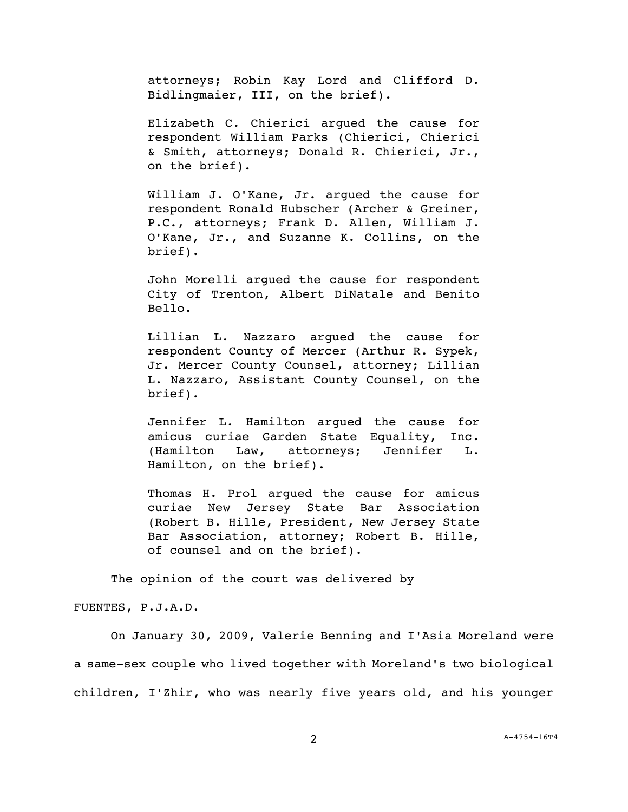attorneys; Robin Kay Lord and Clifford D. Bidlingmaier, III, on the brief).

Elizabeth C. Chierici argued the cause for respondent William Parks (Chierici, Chierici & Smith, attorneys; Donald R. Chierici, Jr., on the brief).

William J. O'Kane, Jr. argued the cause for respondent Ronald Hubscher (Archer & Greiner, P.C., attorneys; Frank D. Allen, William J. O'Kane, Jr., and Suzanne K. Collins, on the brief).

John Morelli argued the cause for respondent City of Trenton, Albert DiNatale and Benito Bello.

Lillian L. Nazzaro argued the cause for respondent County of Mercer (Arthur R. Sypek, Jr. Mercer County Counsel, attorney; Lillian L. Nazzaro, Assistant County Counsel, on the brief).

Jennifer L. Hamilton argued the cause for amicus curiae Garden State Equality, Inc. (Hamilton Law, attorneys; Jennifer L. Hamilton, on the brief).

Thomas H. Prol argued the cause for amicus curiae New Jersey State Bar Association (Robert B. Hille, President, New Jersey State Bar Association, attorney; Robert B. Hille, of counsel and on the brief).

The opinion of the court was delivered by

## FUENTES, P.J.A.D.

On January 30, 2009, Valerie Benning and I'Asia Moreland were a same-sex couple who lived together with Moreland's two biological children, I'Zhir, who was nearly five years old, and his younger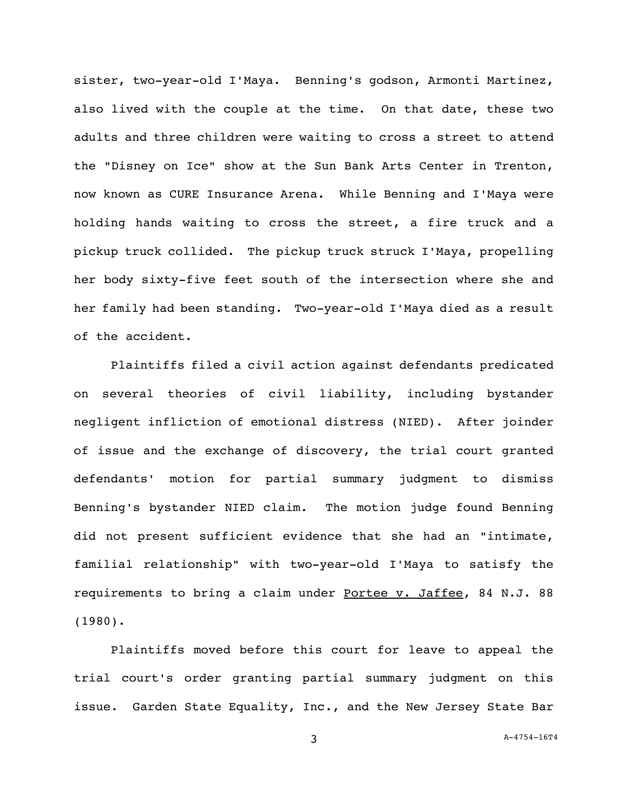sister, two-year-old I'Maya. Benning's godson, Armonti Martinez, also lived with the couple at the time. On that date, these two adults and three children were waiting to cross a street to attend the "Disney on Ice" show at the Sun Bank Arts Center in Trenton, now known as CURE Insurance Arena. While Benning and I'Maya were holding hands waiting to cross the street, a fire truck and a pickup truck collided. The pickup truck struck I'Maya, propelling her body sixty-five feet south of the intersection where she and her family had been standing. Two-year-old I'Maya died as a result of the accident.

Plaintiffs filed a civil action against defendants predicated on several theories of civil liability, including bystander negligent infliction of emotional distress (NIED). After joinder of issue and the exchange of discovery, the trial court granted defendants' motion for partial summary judgment to dismiss Benning's bystander NIED claim. The motion judge found Benning did not present sufficient evidence that she had an "intimate, familial relationship" with two-year-old I'Maya to satisfy the requirements to bring a claim under Portee v. Jaffee, 84 N.J. 88 (1980).

Plaintiffs moved before this court for leave to appeal the trial court's order granting partial summary judgment on this issue. Garden State Equality, Inc., and the New Jersey State Bar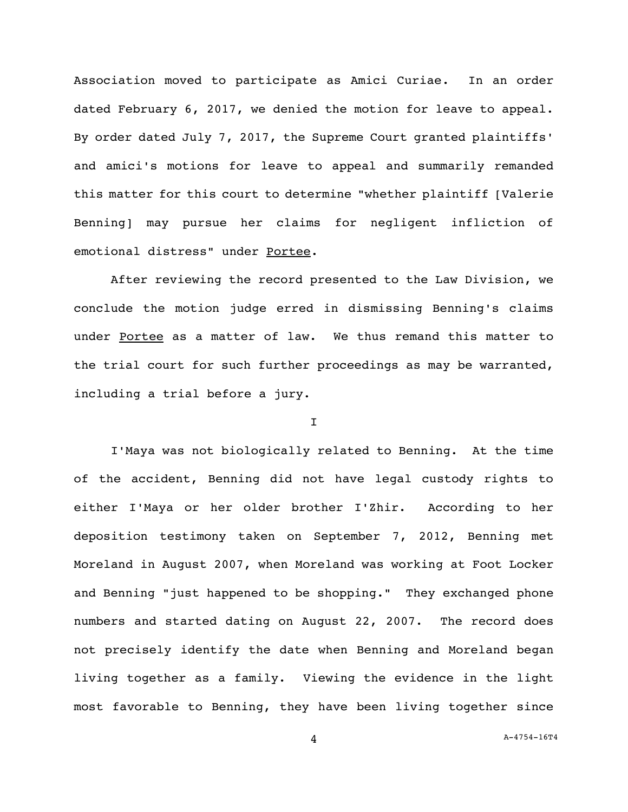Association moved to participate as Amici Curiae. In an order dated February 6, 2017, we denied the motion for leave to appeal. By order dated July 7, 2017, the Supreme Court granted plaintiffs' and amici's motions for leave to appeal and summarily remanded this matter for this court to determine "whether plaintiff [Valerie Benning] may pursue her claims for negligent infliction of emotional distress" under Portee.

After reviewing the record presented to the Law Division, we conclude the motion judge erred in dismissing Benning's claims under Portee as a matter of law. We thus remand this matter to the trial court for such further proceedings as may be warranted, including a trial before a jury.

I

I'Maya was not biologically related to Benning. At the time of the accident, Benning did not have legal custody rights to either I'Maya or her older brother I'Zhir. According to her deposition testimony taken on September 7, 2012, Benning met Moreland in August 2007, when Moreland was working at Foot Locker and Benning "just happened to be shopping." They exchanged phone numbers and started dating on August 22, 2007. The record does not precisely identify the date when Benning and Moreland began living together as a family. Viewing the evidence in the light most favorable to Benning, they have been living together since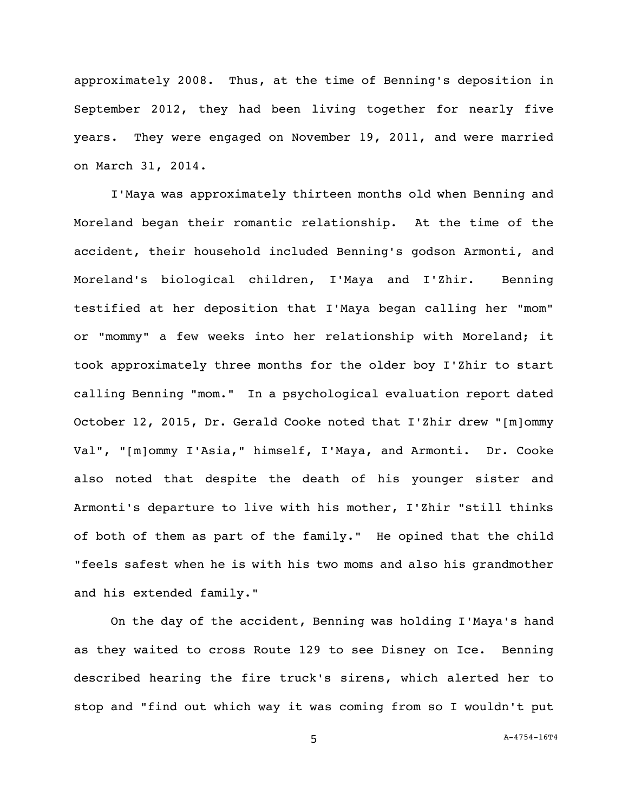approximately 2008. Thus, at the time of Benning's deposition in September 2012, they had been living together for nearly five years. They were engaged on November 19, 2011, and were married on March 31, 2014.

I'Maya was approximately thirteen months old when Benning and Moreland began their romantic relationship. At the time of the accident, their household included Benning's godson Armonti, and Moreland's biological children, I'Maya and I'Zhir. Benning testified at her deposition that I'Maya began calling her "mom" or "mommy" a few weeks into her relationship with Moreland; it took approximately three months for the older boy I'Zhir to start calling Benning "mom." In a psychological evaluation report dated October 12, 2015, Dr. Gerald Cooke noted that I'Zhir drew "[m]ommy Val", "[m]ommy I'Asia," himself, I'Maya, and Armonti. Dr. Cooke also noted that despite the death of his younger sister and Armonti's departure to live with his mother, I'Zhir "still thinks of both of them as part of the family." He opined that the child "feels safest when he is with his two moms and also his grandmother and his extended family."

On the day of the accident, Benning was holding I'Maya's hand as they waited to cross Route 129 to see Disney on Ice. Benning described hearing the fire truck's sirens, which alerted her to stop and "find out which way it was coming from so I wouldn't put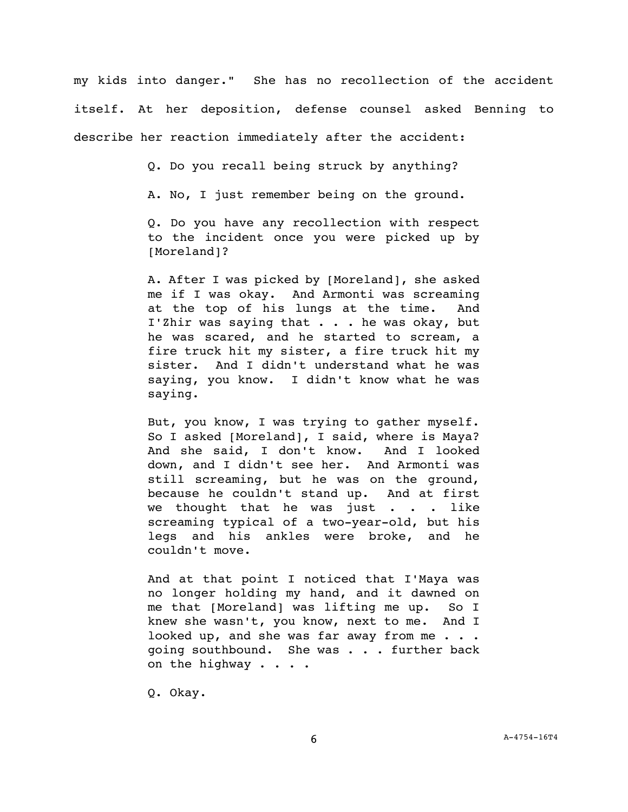my kids into danger." She has no recollection of the accident itself. At her deposition, defense counsel asked Benning to describe her reaction immediately after the accident:

Q. Do you recall being struck by anything?

A. No, I just remember being on the ground.

Q. Do you have any recollection with respect to the incident once you were picked up by [Moreland]?

A. After I was picked by [Moreland], she asked me if I was okay. And Armonti was screaming at the top of his lungs at the time. And I'Zhir was saying that . . . he was okay, but he was scared, and he started to scream, a fire truck hit my sister, a fire truck hit my sister. And I didn't understand what he was saying, you know. I didn't know what he was saying.

But, you know, I was trying to gather myself. So I asked [Moreland], I said, where is Maya? And she said, I don't know. And I looked down, and I didn't see her. And Armonti was still screaming, but he was on the ground, because he couldn't stand up. And at first we thought that he was just  $\cdots$  . like screaming typical of a two-year-old, but his legs and his ankles were broke, and he couldn't move.

And at that point I noticed that I'Maya was no longer holding my hand, and it dawned on me that [Moreland] was lifting me up. So I knew she wasn't, you know, next to me. And I looked up, and she was far away from me . . . going southbound. She was . . . further back on the highway . . . .

Q. Okay.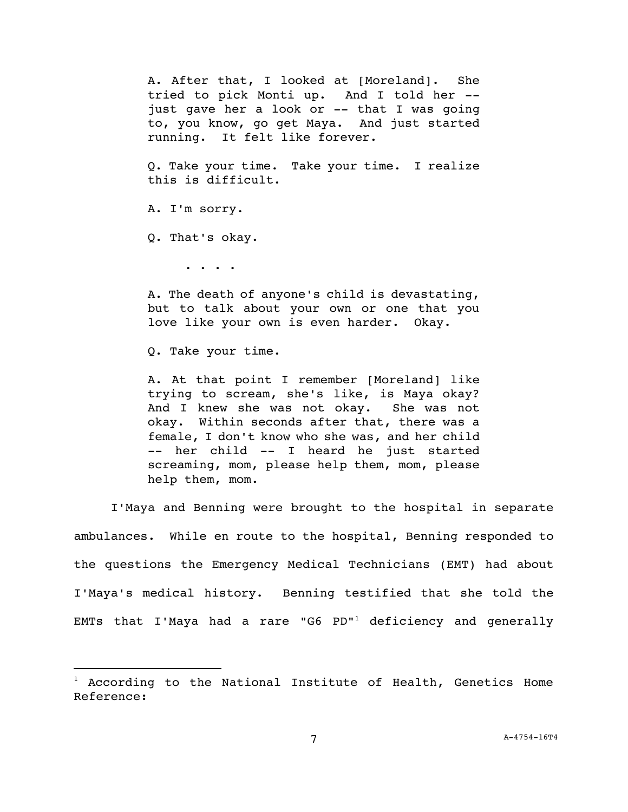A. After that, I looked at [Moreland]. She tried to pick Monti up. And I told her - just gave her a look or -- that I was going to, you know, go get Maya. And just started running. It felt like forever.

Q. Take your time. Take your time. I realize this is difficult.

A. I'm sorry.

Q. That's okay.

. . . .

A. The death of anyone's child is devastating, but to talk about your own or one that you love like your own is even harder. Okay.

Q. Take your time.

i<br>L

A. At that point I remember [Moreland] like trying to scream, she's like, is Maya okay? And I knew she was not okay. She was not okay. Within seconds after that, there was a female, I don't know who she was, and her child -- her child -- I heard he just started screaming, mom, please help them, mom, please help them, mom.

I'Maya and Benning were brought to the hospital in separate ambulances. While en route to the hospital, Benning responded to the questions the Emergency Medical Technicians (EMT) had about I'Maya's medical history. Benning testified that she told the EMTs that I'Maya had a rare "G6 PD" <sup>1</sup> deficiency and generally

 $1$  According to the National Institute of Health, Genetics Home Reference: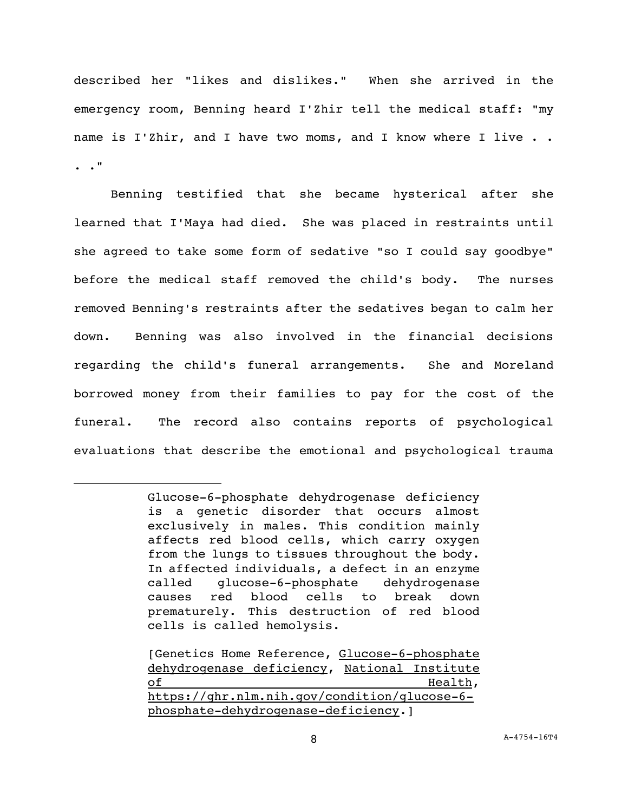described her "likes and dislikes." When she arrived in the emergency room, Benning heard I'Zhir tell the medical staff: "my name is I'Zhir, and I have two moms, and I know where I live . . . ."

Benning testified that she became hysterical after she learned that I'Maya had died. She was placed in restraints until she agreed to take some form of sedative "so I could say goodbye" before the medical staff removed the child's body. The nurses removed Benning's restraints after the sedatives began to calm her down. Benning was also involved in the financial decisions regarding the child's funeral arrangements. She and Moreland borrowed money from their families to pay for the cost of the funeral. The record also contains reports of psychological evaluations that describe the emotional and psychological trauma

i<br>L

Glucose-6-phosphate dehydrogenase deficiency is a genetic disorder that occurs almost exclusively in males. This condition mainly affects red blood cells, which carry oxygen from the lungs to tissues throughout the body. In affected individuals, a defect in an enzyme called glucose-6-phosphate dehydrogenase causes red blood cells to break down prematurely. This destruction of red blood cells is called hemolysis.

<sup>[</sup>Genetics Home Reference, Glucose-6-phosphate dehydrogenase deficiency, National Institute of Health, [https://ghr.nlm.nih.gov/condition/glucose-6](https://ghr.nlm.nih.gov/condition/glucose-6-phosphate-dehydrogenase-deficiency) [phosphate-dehydrogenase-deficiency.](https://ghr.nlm.nih.gov/condition/glucose-6-phosphate-dehydrogenase-deficiency)]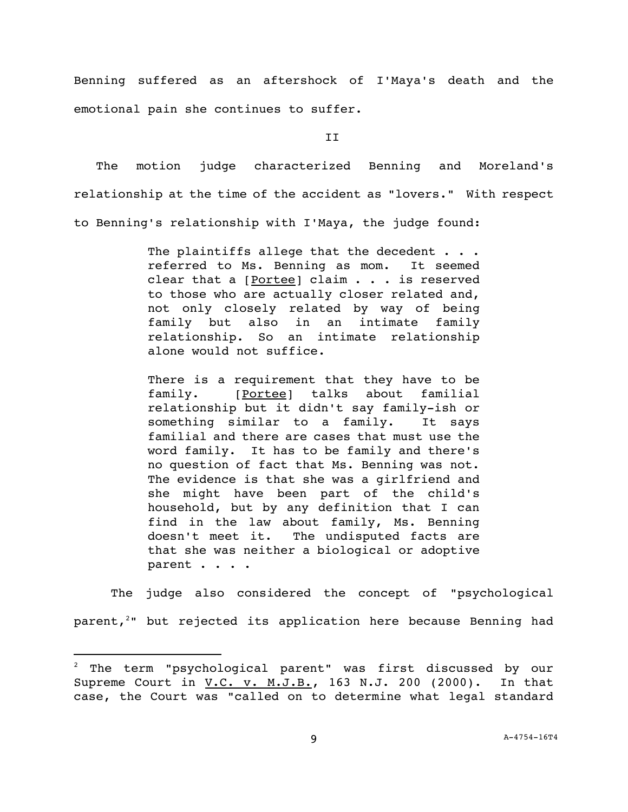Benning suffered as an aftershock of I'Maya's death and the emotional pain she continues to suffer.

II

 The motion judge characterized Benning and Moreland's relationship at the time of the accident as "lovers." With respect to Benning's relationship with I'Maya, the judge found:

> The plaintiffs allege that the decedent . . . referred to Ms. Benning as mom. It seemed clear that a  $[Portee]$  claim . . . is reserved to those who are actually closer related and, not only closely related by way of being family but also in an intimate family relationship. So an intimate relationship alone would not suffice.

> There is a requirement that they have to be family. [Portee] talks about familial relationship but it didn't say family-ish or something similar to a family. It says familial and there are cases that must use the word family. It has to be family and there's no question of fact that Ms. Benning was not. The evidence is that she was a girlfriend and she might have been part of the child's household, but by any definition that I can find in the law about family, Ms. Benning doesn't meet it. The undisputed facts are that she was neither a biological or adoptive parent . . . .

The judge also considered the concept of "psychological parent,<sup>2</sup>" but rejected its application here because Benning had

i<br>L

 $2$  The term "psychological parent" was first discussed by our Supreme Court in V.C. v. M.J.B., 163 N.J. 200 (2000). In that case, the Court was "called on to determine what legal standard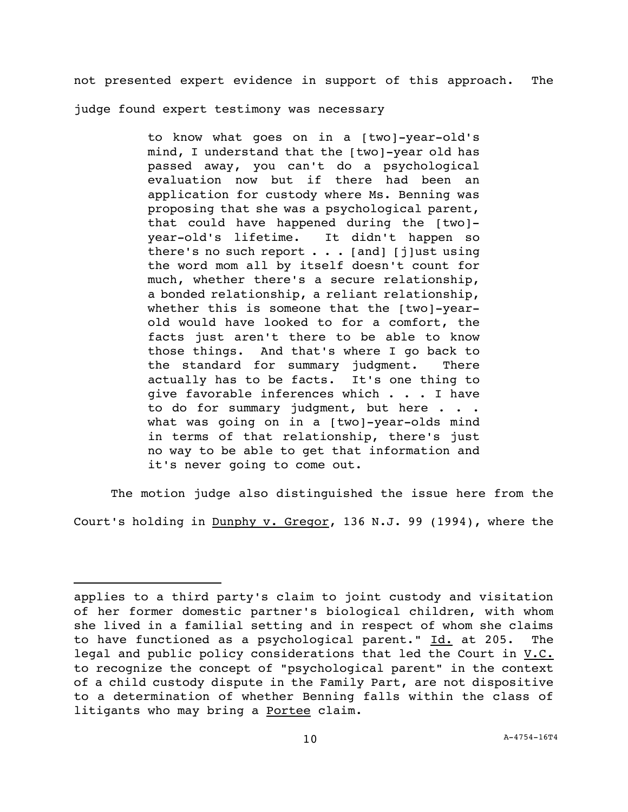not presented expert evidence in support of this approach. The

judge found expert testimony was necessary

i<br>L

to know what goes on in a [two]-year-old's mind, I understand that the [two]-year old has passed away, you can't do a psychological evaluation now but if there had been an application for custody where Ms. Benning was proposing that she was a psychological parent, that could have happened during the [two] year-old's lifetime. It didn't happen so there's no such report  $\ldots$  [and] [j]ust using the word mom all by itself doesn't count for much, whether there's a secure relationship, a bonded relationship, a reliant relationship, whether this is someone that the [two]-yearold would have looked to for a comfort, the facts just aren't there to be able to know those things. And that's where I go back to the standard for summary judgment. There actually has to be facts. It's one thing to give favorable inferences which . . . I have to do for summary judgment, but here . . . what was going on in a [two]-year-olds mind in terms of that relationship, there's just no way to be able to get that information and it's never going to come out.

The motion judge also distinguished the issue here from the Court's holding in Dunphy v. Gregor, 136 N.J. 99 (1994), where the

applies to a third party's claim to joint custody and visitation of her former domestic partner's biological children, with whom she lived in a familial setting and in respect of whom she claims to have functioned as a psychological parent." Id. at 205. The legal and public policy considerations that led the Court in V.C. to recognize the concept of "psychological parent" in the context of a child custody dispute in the Family Part, are not dispositive to a determination of whether Benning falls within the class of litigants who may bring a Portee claim.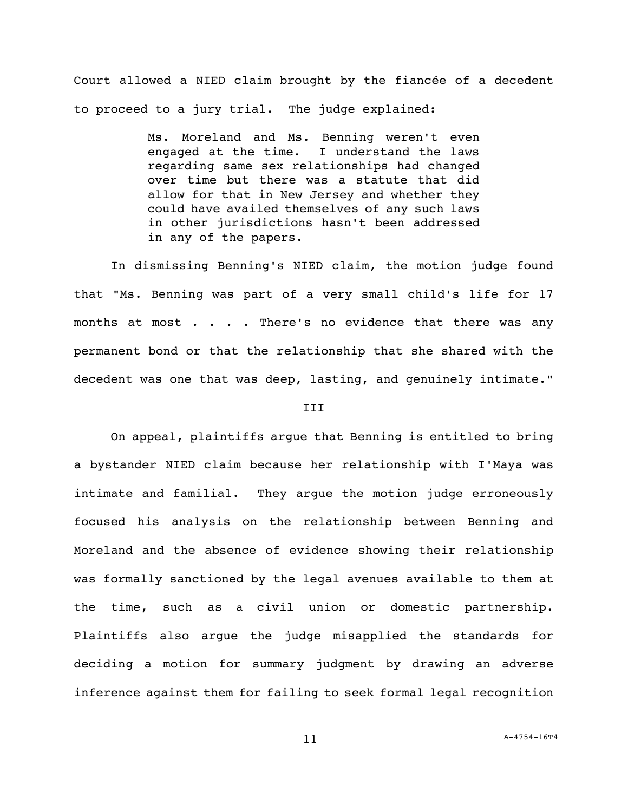Court allowed a NIED claim brought by the fiancée of a decedent to proceed to a jury trial. The judge explained:

> Ms. Moreland and Ms. Benning weren't even engaged at the time. I understand the laws regarding same sex relationships had changed over time but there was a statute that did allow for that in New Jersey and whether they could have availed themselves of any such laws in other jurisdictions hasn't been addressed in any of the papers.

In dismissing Benning's NIED claim, the motion judge found that "Ms. Benning was part of a very small child's life for 17 months at most . . . There's no evidence that there was any permanent bond or that the relationship that she shared with the decedent was one that was deep, lasting, and genuinely intimate."

## III

On appeal, plaintiffs argue that Benning is entitled to bring a bystander NIED claim because her relationship with I'Maya was intimate and familial. They argue the motion judge erroneously focused his analysis on the relationship between Benning and Moreland and the absence of evidence showing their relationship was formally sanctioned by the legal avenues available to them at the time, such as a civil union or domestic partnership. Plaintiffs also argue the judge misapplied the standards for deciding a motion for summary judgment by drawing an adverse inference against them for failing to seek formal legal recognition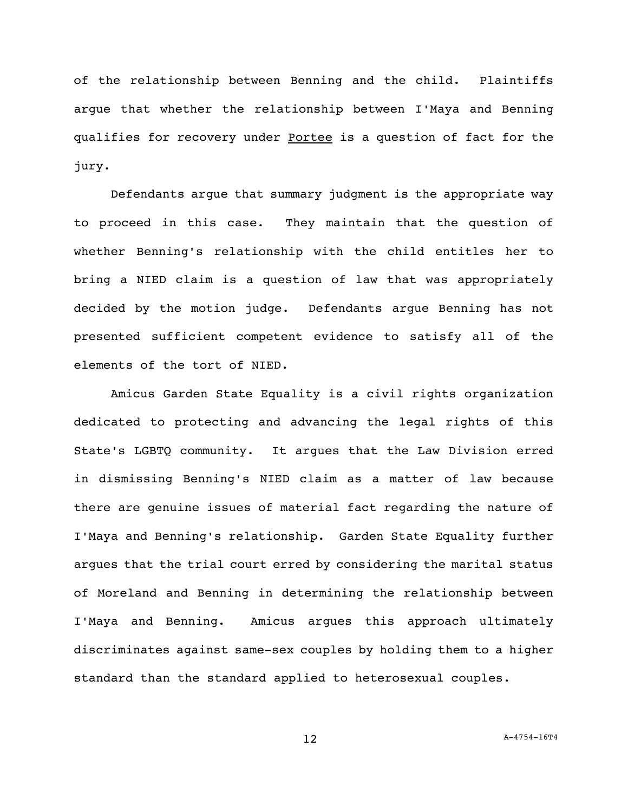of the relationship between Benning and the child. Plaintiffs argue that whether the relationship between I'Maya and Benning qualifies for recovery under Portee is a question of fact for the jury.

Defendants argue that summary judgment is the appropriate way to proceed in this case. They maintain that the question of whether Benning's relationship with the child entitles her to bring a NIED claim is a question of law that was appropriately decided by the motion judge. Defendants argue Benning has not presented sufficient competent evidence to satisfy all of the elements of the tort of NIED.

Amicus Garden State Equality is a civil rights organization dedicated to protecting and advancing the legal rights of this State's LGBTQ community. It argues that the Law Division erred in dismissing Benning's NIED claim as a matter of law because there are genuine issues of material fact regarding the nature of I'Maya and Benning's relationship. Garden State Equality further argues that the trial court erred by considering the marital status of Moreland and Benning in determining the relationship between I'Maya and Benning. Amicus argues this approach ultimately discriminates against same-sex couples by holding them to a higher standard than the standard applied to heterosexual couples.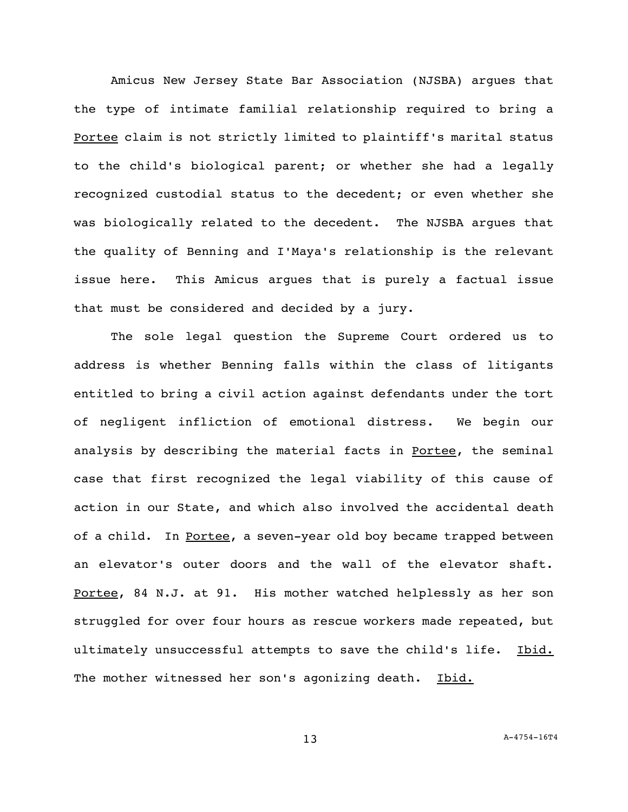Amicus New Jersey State Bar Association (NJSBA) argues that the type of intimate familial relationship required to bring a Portee claim is not strictly limited to plaintiff's marital status to the child's biological parent; or whether she had a legally recognized custodial status to the decedent; or even whether she was biologically related to the decedent. The NJSBA argues that the quality of Benning and I'Maya's relationship is the relevant issue here. This Amicus argues that is purely a factual issue that must be considered and decided by a jury.

The sole legal question the Supreme Court ordered us to address is whether Benning falls within the class of litigants entitled to bring a civil action against defendants under the tort of negligent infliction of emotional distress. We begin our analysis by describing the material facts in Portee, the seminal case that first recognized the legal viability of this cause of action in our State, and which also involved the accidental death of a child. In Portee, a seven-year old boy became trapped between an elevator's outer doors and the wall of the elevator shaft. Portee, 84 N.J. at 91. His mother watched helplessly as her son struggled for over four hours as rescue workers made repeated, but ultimately unsuccessful attempts to save the child's life. Ibid. The mother witnessed her son's agonizing death. Ibid.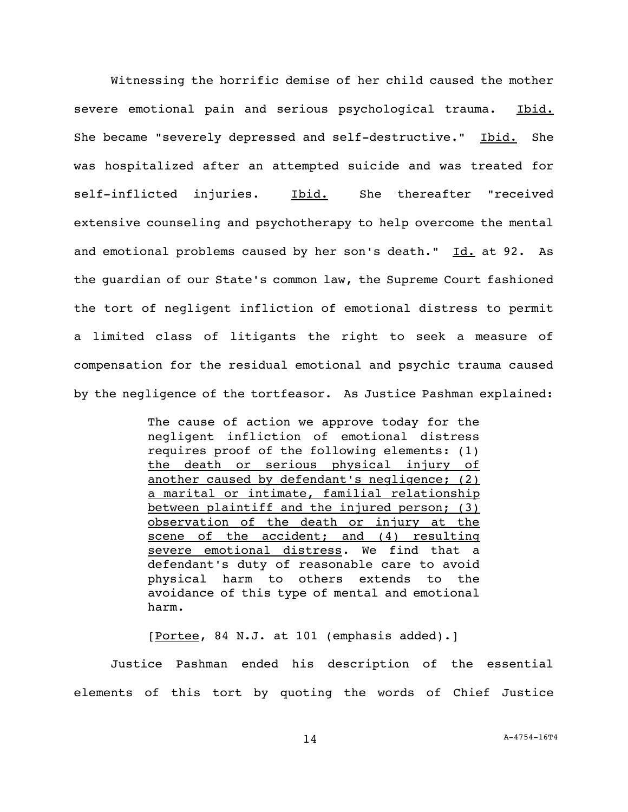Witnessing the horrific demise of her child caused the mother severe emotional pain and serious psychological trauma. Ibid. She became "severely depressed and self-destructive." Ibid. She was hospitalized after an attempted suicide and was treated for self-inflicted injuries. Ibid. She thereafter "received extensive counseling and psychotherapy to help overcome the mental and emotional problems caused by her son's death."  $\underline{Id.}$  at 92. As the guardian of our State's common law, the Supreme Court fashioned the tort of negligent infliction of emotional distress to permit a limited class of litigants the right to seek a measure of compensation for the residual emotional and psychic trauma caused by the negligence of the tortfeasor. As Justice Pashman explained:

> The cause of action we approve today for the negligent infliction of emotional distress requires proof of the following elements: (1) the death or serious physical injury of another caused by defendant's negligence; (2) a marital or intimate, familial relationship between plaintiff and the injured person; (3) observation of the death or injury at the scene of the accident; and (4) resulting severe emotional distress. We find that a defendant's duty of reasonable care to avoid physical harm to others extends to the avoidance of this type of mental and emotional harm.

[Portee, 84 N.J. at 101 (emphasis added).] Justice Pashman ended his description of the essential elements of this tort by quoting the words of Chief Justice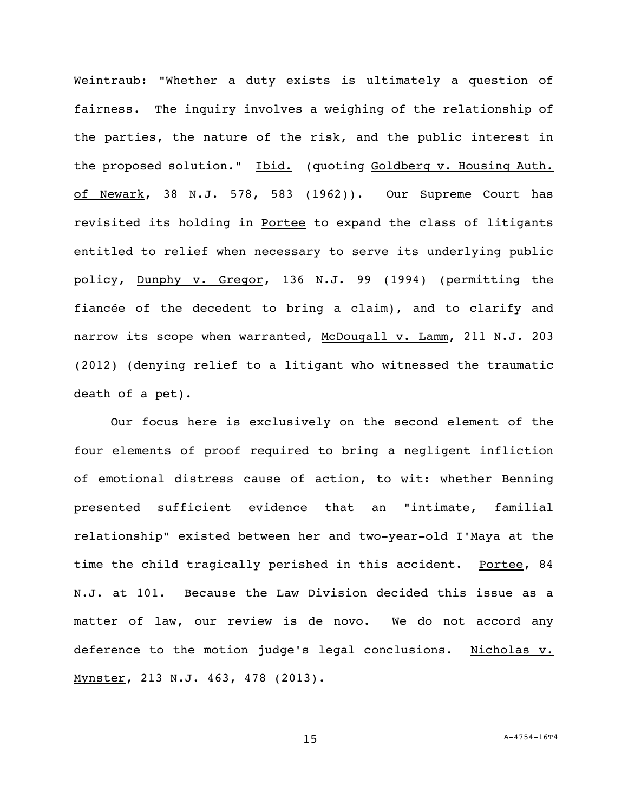Weintraub: "Whether a duty exists is ultimately a question of fairness. The inquiry involves a weighing of the relationship of the parties, the nature of the risk, and the public interest in the proposed solution." Ibid. (quoting Goldberg v. Housing Auth. of Newark, 38 N.J. 578, 583 (1962)). Our Supreme Court has revisited its holding in Portee to expand the class of litigants entitled to relief when necessary to serve its underlying public policy, Dunphy v. Gregor, 136 N.J. 99 (1994) (permitting the fiancée of the decedent to bring a claim), and to clarify and narrow its scope when warranted, McDougall v. Lamm, 211 N.J. 203 (2012) (denying relief to a litigant who witnessed the traumatic death of a pet).

Our focus here is exclusively on the second element of the four elements of proof required to bring a negligent infliction of emotional distress cause of action, to wit: whether Benning presented sufficient evidence that an "intimate, familial relationship" existed between her and two-year-old I'Maya at the time the child tragically perished in this accident. Portee, 84 N.J. at 101. Because the Law Division decided this issue as a matter of law, our review is de novo. We do not accord any deference to the motion judge's legal conclusions. Nicholas v. Mynster, 213 N.J. 463, 478 (2013).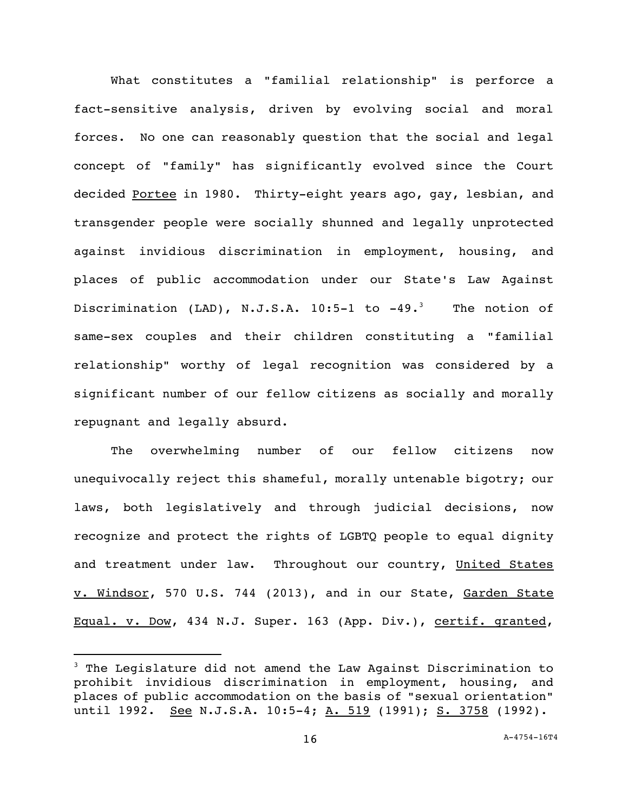What constitutes a "familial relationship" is perforce a fact-sensitive analysis, driven by evolving social and moral forces. No one can reasonably question that the social and legal concept of "family" has significantly evolved since the Court decided Portee in 1980. Thirty-eight years ago, gay, lesbian, and transgender people were socially shunned and legally unprotected against invidious discrimination in employment, housing, and places of public accommodation under our State's Law Against Discrimination (LAD), N.J.S.A. 10:5-1 to -49.<sup>3</sup> The notion of same-sex couples and their children constituting a "familial relationship" worthy of legal recognition was considered by a significant number of our fellow citizens as socially and morally repugnant and legally absurd.

The overwhelming number of our fellow citizens now unequivocally reject this shameful, morally untenable bigotry; our laws, both legislatively and through judicial decisions, now recognize and protect the rights of LGBTQ people to equal dignity and treatment under law. Throughout our country, United States v. Windsor, 570 U.S. 744 (2013), and in our State, Garden State Equal. v. Dow, 434 N.J. Super. 163 (App. Div.), certif. granted,

i<br>L

 $3$  The Legislature did not amend the Law Against Discrimination to prohibit invidious discrimination in employment, housing, and places of public accommodation on the basis of "sexual orientation" until 1992. See N.J.S.A. 10:5-4; A. 519 (1991); S. 3758 (1992).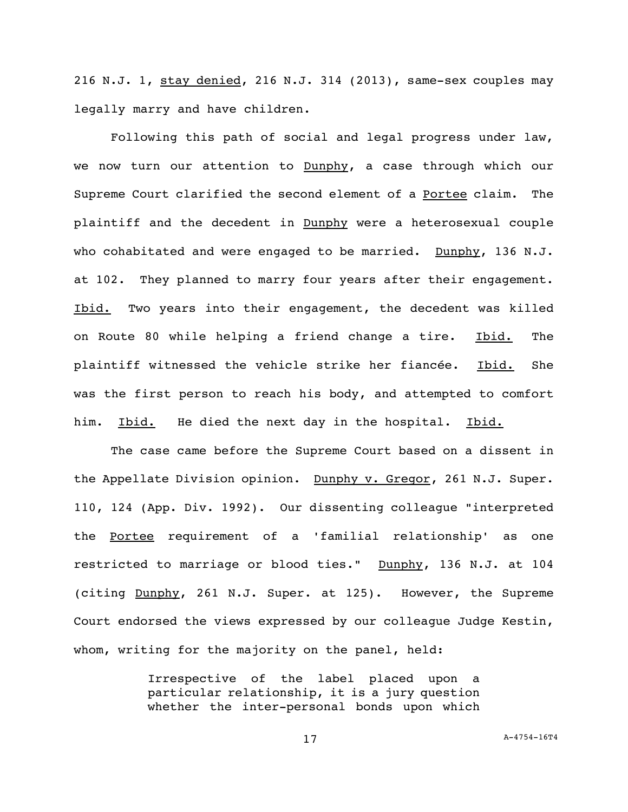216 N.J. 1, stay denied, 216 N.J. 314 (2013), same-sex couples may legally marry and have children.

Following this path of social and legal progress under law, we now turn our attention to Dunphy, a case through which our Supreme Court clarified the second element of a Portee claim. The plaintiff and the decedent in Dunphy were a heterosexual couple who cohabitated and were engaged to be married. Dunphy, 136 N.J. at 102. They planned to marry four years after their engagement. Ibid. Two years into their engagement, the decedent was killed on Route 80 while helping a friend change a tire. Ibid. The plaintiff witnessed the vehicle strike her fiancée. Ibid. She was the first person to reach his body, and attempted to comfort him. Ibid. He died the next day in the hospital. Ibid.

The case came before the Supreme Court based on a dissent in the Appellate Division opinion. Dunphy v. Gregor, 261 N.J. Super. 110, 124 (App. Div. 1992). Our dissenting colleague "interpreted the Portee requirement of a 'familial relationship' as one restricted to marriage or blood ties." Dunphy, 136 N.J. at 104 (citing Dunphy, 261 N.J. Super. at 125). However, the Supreme Court endorsed the views expressed by our colleague Judge Kestin, whom, writing for the majority on the panel, held:

> Irrespective of the label placed upon a particular relationship, it is a jury question whether the inter-personal bonds upon which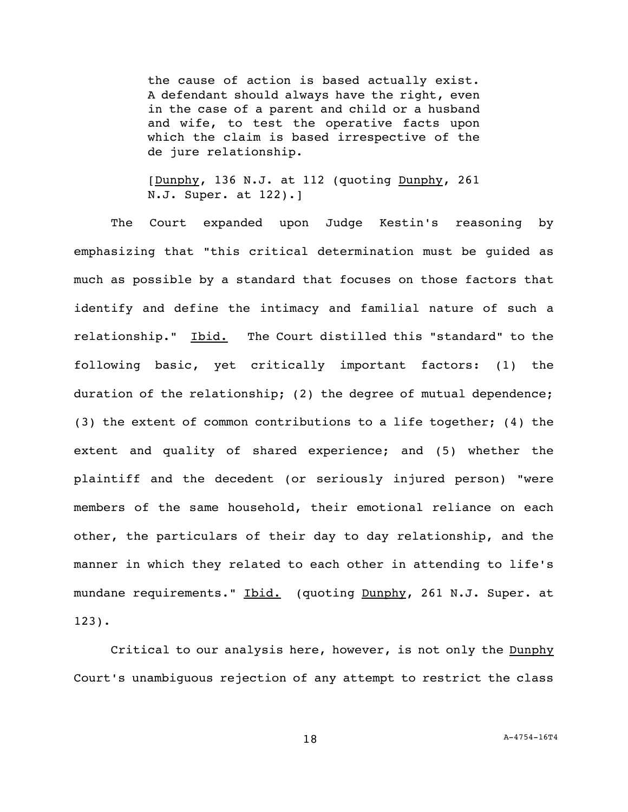the cause of action is based actually exist. A defendant should always have the right, even in the case of a parent and child or a husband and wife, to test the operative facts upon which the claim is based irrespective of the de jure relationship.

[Dunphy, 136 N.J. at 112 (quoting Dunphy, 261 N.J. Super. at 122).]

The Court expanded upon Judge Kestin's reasoning by emphasizing that "this critical determination must be guided as much as possible by a standard that focuses on those factors that identify and define the intimacy and familial nature of such a relationship." Ibid. The Court distilled this "standard" to the following basic, yet critically important factors: (1) the duration of the relationship; (2) the degree of mutual dependence; (3) the extent of common contributions to a life together; (4) the extent and quality of shared experience; and (5) whether the plaintiff and the decedent (or seriously injured person) "were members of the same household, their emotional reliance on each other, the particulars of their day to day relationship, and the manner in which they related to each other in attending to life's mundane requirements." Ibid. (quoting Dunphy, 261 N.J. Super. at 123).

Critical to our analysis here, however, is not only the Dunphy Court's unambiguous rejection of any attempt to restrict the class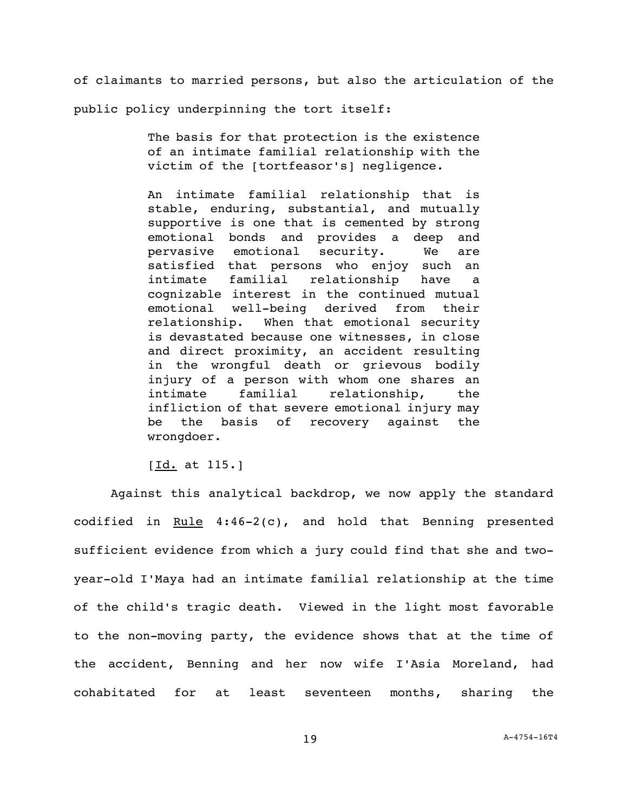of claimants to married persons, but also the articulation of the

public policy underpinning the tort itself:

The basis for that protection is the existence of an intimate familial relationship with the victim of the [tortfeasor's] negligence.

An intimate familial relationship that is stable, enduring, substantial, and mutually supportive is one that is cemented by strong emotional bonds and provides a deep and pervasive emotional security. We are satisfied that persons who enjoy such an intimate familial relationship have a cognizable interest in the continued mutual emotional well-being derived from their relationship. When that emotional security is devastated because one witnesses, in close and direct proximity, an accident resulting in the wrongful death or grievous bodily injury of a person with whom one shares an intimate familial relationship, the infliction of that severe emotional injury may be the basis of recovery against the wrongdoer.

 $[\underline{Id.}$  at  $115.]$ 

Against this analytical backdrop, we now apply the standard codified in Rule  $4:46-2(c)$ , and hold that Benning presented sufficient evidence from which a jury could find that she and twoyear-old I'Maya had an intimate familial relationship at the time of the child's tragic death. Viewed in the light most favorable to the non-moving party, the evidence shows that at the time of the accident, Benning and her now wife I'Asia Moreland, had cohabitated for at least seventeen months, sharing the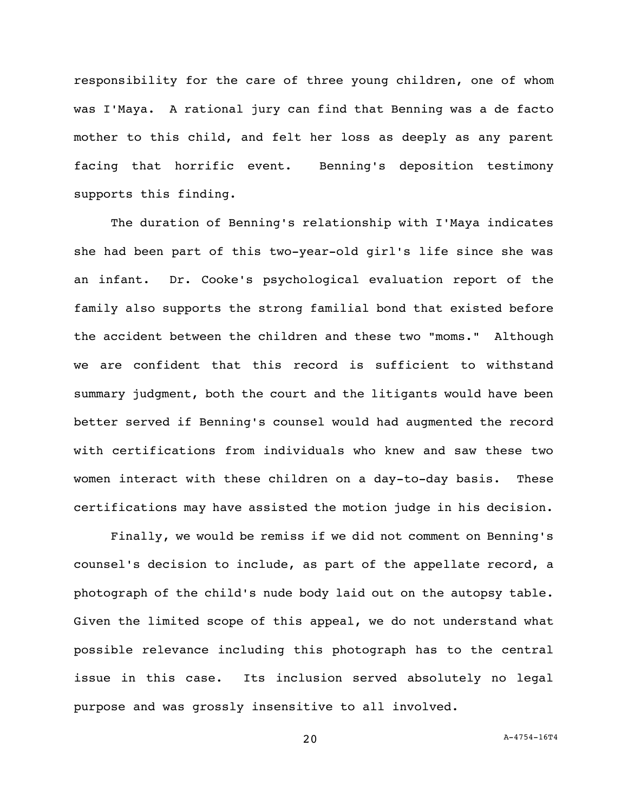responsibility for the care of three young children, one of whom was I'Maya. A rational jury can find that Benning was a de facto mother to this child, and felt her loss as deeply as any parent facing that horrific event. Benning's deposition testimony supports this finding.

The duration of Benning's relationship with I'Maya indicates she had been part of this two-year-old girl's life since she was an infant. Dr. Cooke's psychological evaluation report of the family also supports the strong familial bond that existed before the accident between the children and these two "moms." Although we are confident that this record is sufficient to withstand summary judgment, both the court and the litigants would have been better served if Benning's counsel would had augmented the record with certifications from individuals who knew and saw these two women interact with these children on a day-to-day basis. These certifications may have assisted the motion judge in his decision.

Finally, we would be remiss if we did not comment on Benning's counsel's decision to include, as part of the appellate record, a photograph of the child's nude body laid out on the autopsy table. Given the limited scope of this appeal, we do not understand what possible relevance including this photograph has to the central issue in this case. Its inclusion served absolutely no legal purpose and was grossly insensitive to all involved.